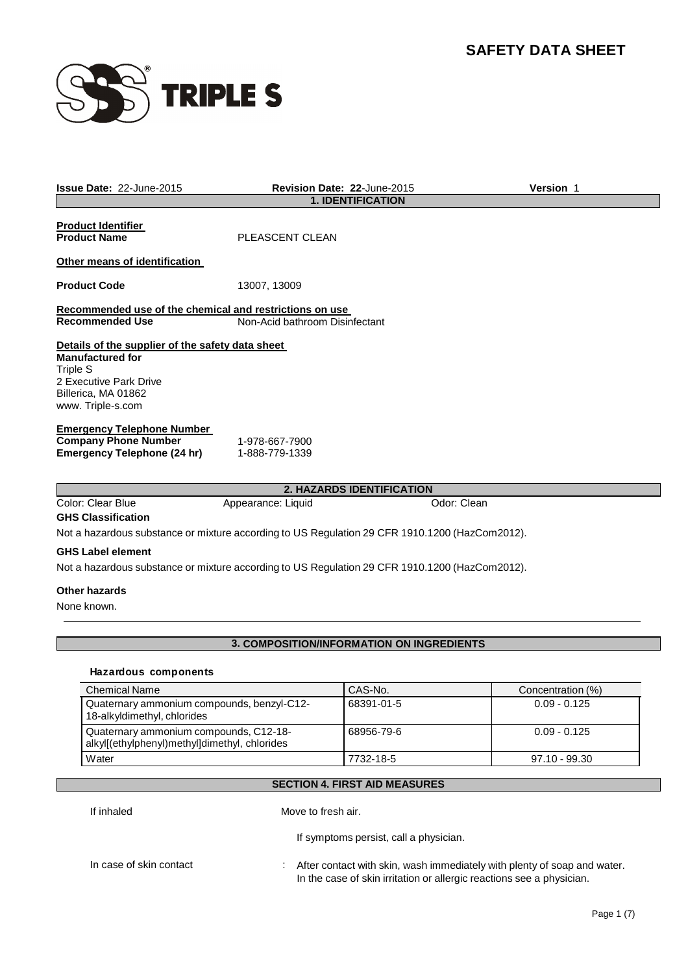

| <b>Issue Date: 22-June-2015</b>                                                                                                                                      |                                  | <b>Revision Date: 22-June-2015</b>        | <b>Version 1</b>  |  |  |
|----------------------------------------------------------------------------------------------------------------------------------------------------------------------|----------------------------------|-------------------------------------------|-------------------|--|--|
|                                                                                                                                                                      |                                  | <b>1. IDENTIFICATION</b>                  |                   |  |  |
| <b>Product Identifier</b><br><b>Product Name</b>                                                                                                                     | PLEASCENT CLEAN                  |                                           |                   |  |  |
| Other means of identification                                                                                                                                        |                                  |                                           |                   |  |  |
| <b>Product Code</b>                                                                                                                                                  | 13007, 13009                     |                                           |                   |  |  |
| Recommended use of the chemical and restrictions on use                                                                                                              |                                  |                                           |                   |  |  |
| <b>Recommended Use</b>                                                                                                                                               | Non-Acid bathroom Disinfectant   |                                           |                   |  |  |
| Details of the supplier of the safety data sheet<br><b>Manufactured for</b><br><b>Triple S</b><br>2 Executive Park Drive<br>Billerica, MA 01862<br>www. Triple-s.com |                                  |                                           |                   |  |  |
| <b>Emergency Telephone Number</b><br><b>Company Phone Number</b><br><b>Emergency Telephone (24 hr)</b>                                                               | 1-978-667-7900<br>1-888-779-1339 |                                           |                   |  |  |
|                                                                                                                                                                      |                                  | 2. HAZARDS IDENTIFICATION                 |                   |  |  |
| <b>Color: Clear Blue</b><br><b>GHS Classification</b>                                                                                                                | Appearance: Liquid               | Odor: Clean                               |                   |  |  |
| Not a hazardous substance or mixture according to US Regulation 29 CFR 1910.1200 (HazCom2012).                                                                       |                                  |                                           |                   |  |  |
| <b>GHS Label element</b>                                                                                                                                             |                                  |                                           |                   |  |  |
| Not a hazardous substance or mixture according to US Regulation 29 CFR 1910.1200 (HazCom2012).                                                                       |                                  |                                           |                   |  |  |
|                                                                                                                                                                      |                                  |                                           |                   |  |  |
| <b>Other hazards</b><br>None known.                                                                                                                                  |                                  |                                           |                   |  |  |
|                                                                                                                                                                      |                                  |                                           |                   |  |  |
|                                                                                                                                                                      |                                  | 3. COMPOSITION/INFORMATION ON INGREDIENTS |                   |  |  |
| Hazardous components                                                                                                                                                 |                                  |                                           |                   |  |  |
| <b>Chemical Name</b>                                                                                                                                                 |                                  | CAS-No.                                   | Concentration (%) |  |  |
| Quaternary ammonium compounds, benzyl-C12-<br>18-alkyldimethyl, chlorides                                                                                            |                                  | 68391-01-5                                | $0.09 - 0.125$    |  |  |
| Quaternary ammonium compounds, C12-18-<br>alkyl[(ethylphenyl)methyl]dimethyl, chlorides                                                                              |                                  | 68956-79-6                                | $0.09 - 0.125$    |  |  |
| Water                                                                                                                                                                |                                  | 7732-18-5                                 | 97.10 - 99.30     |  |  |
|                                                                                                                                                                      |                                  | <b>SECTION 4. FIRST AID MEASURES</b>      |                   |  |  |

If inhaled Move to fresh air.

If symptoms persist, call a physician.

In case of skin contact : After contact with skin, wash immediately with plenty of soap and water. In the case of skin irritation or allergic reactions see a physician.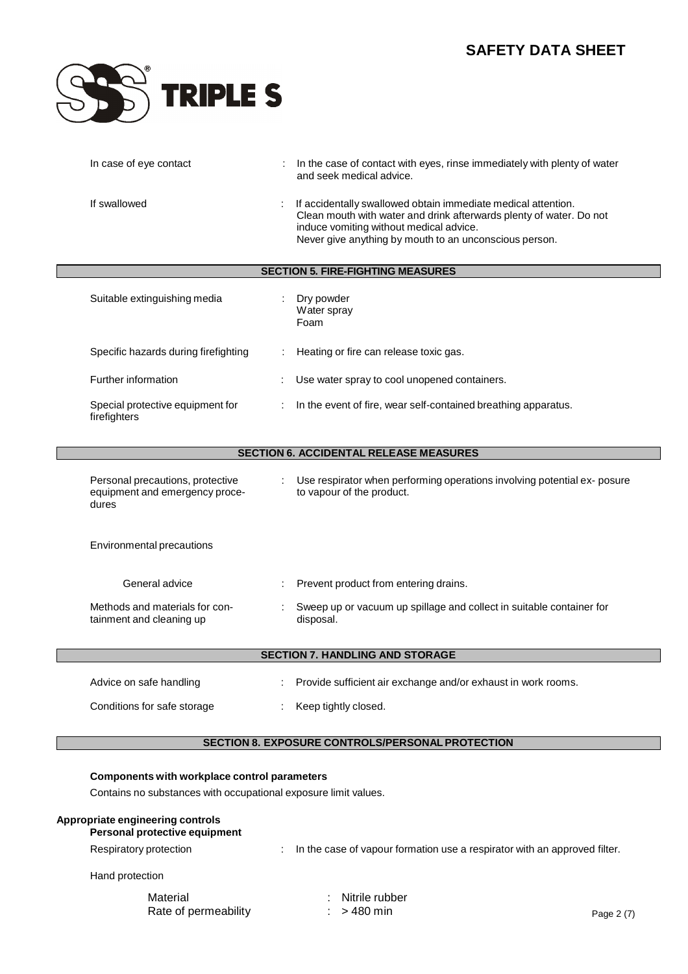

| In case of eye contact                                                      | In the case of contact with eyes, rinse immediately with plenty of water<br>and seek medical advice.                                                                                                                                      |
|-----------------------------------------------------------------------------|-------------------------------------------------------------------------------------------------------------------------------------------------------------------------------------------------------------------------------------------|
| If swallowed                                                                | If accidentally swallowed obtain immediate medical attention.<br>Clean mouth with water and drink afterwards plenty of water. Do not<br>induce vomiting without medical advice.<br>Never give anything by mouth to an unconscious person. |
|                                                                             | <b>SECTION 5. FIRE-FIGHTING MEASURES</b>                                                                                                                                                                                                  |
| Suitable extinguishing media                                                | Dry powder<br>Water spray<br>Foam                                                                                                                                                                                                         |
| Specific hazards during firefighting                                        | Heating or fire can release toxic gas.                                                                                                                                                                                                    |
| Further information                                                         | Use water spray to cool unopened containers.                                                                                                                                                                                              |
| Special protective equipment for<br>firefighters                            | In the event of fire, wear self-contained breathing apparatus.                                                                                                                                                                            |
|                                                                             | <b>SECTION 6. ACCIDENTAL RELEASE MEASURES</b>                                                                                                                                                                                             |
| Personal precautions, protective<br>equipment and emergency proce-<br>dures | Use respirator when performing operations involving potential ex- posure<br>to vapour of the product.                                                                                                                                     |
| Environmental precautions                                                   |                                                                                                                                                                                                                                           |
| General advice                                                              | Prevent product from entering drains.                                                                                                                                                                                                     |
| Methods and materials for con-<br>tainment and cleaning up                  | Sweep up or vacuum up spillage and collect in suitable container for<br>disposal.                                                                                                                                                         |

## **SECTION 7. HANDLING AND STORAGE**

| Advice on safe handling     | Provide sufficient air exchange and/or exhaust in work rooms. |
|-----------------------------|---------------------------------------------------------------|
| Conditions for safe storage | Keep tightly closed.                                          |

## **SECTION 8. EXPOSURE CONTROLS/PERSONALPROTECTION**

## **Components with workplace control parameters**

Contains no substances with occupational exposure limit values.

## **Appropriate engineering controls**

**Personal protective equipment**

- Respiratory protection : In the case of vapour formation use a respirator with an approved filter.
- Hand protection

Material **Material in the U.S. Material Material** Rate of permeability : > 480 min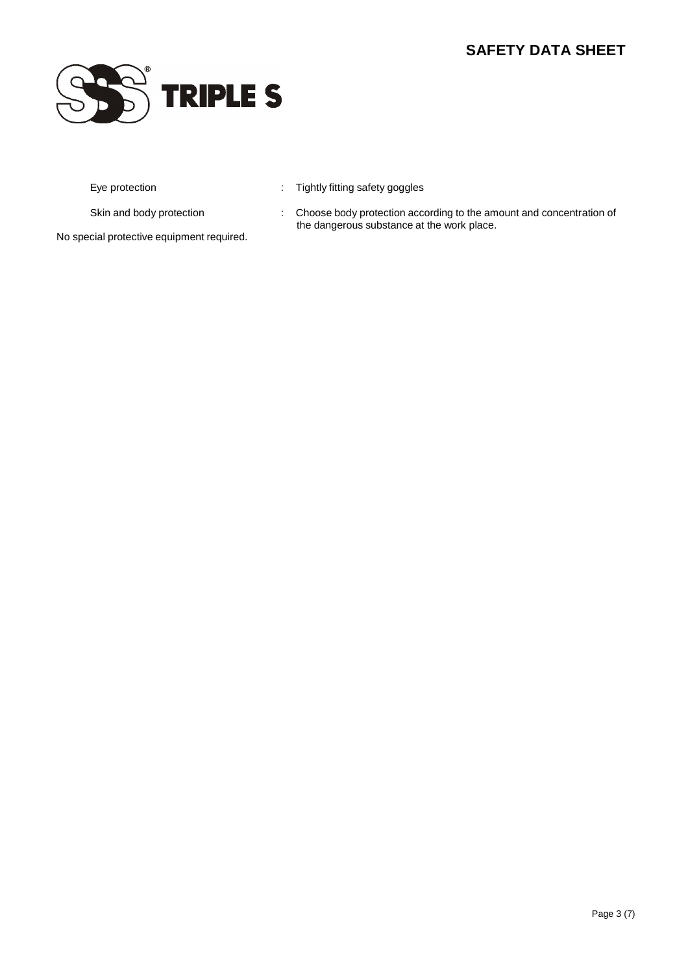

- Eye protection **in the contract of the Cycle System** of Tightly fitting safety goggles
- 
- Skin and body protection : Choose body protection according to the amount and concentration of the dangerous substance at the work place.

No special protective equipment required.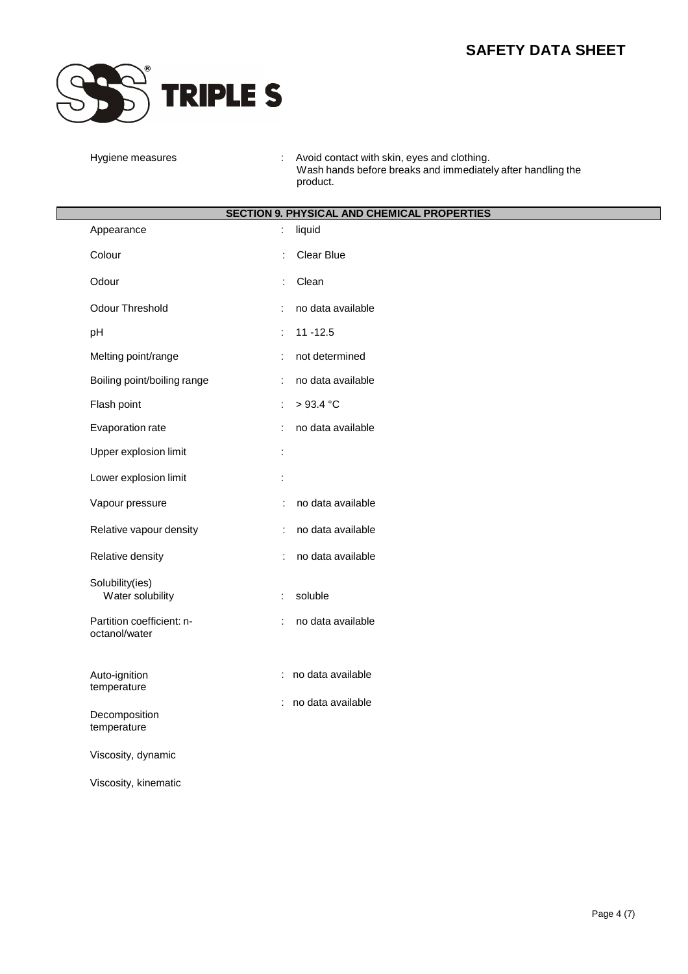

Hygiene measures : Avoid contact with skin, eyes and clothing. Wash hands before breaks and immediately after handling the product.

| <b>SECTION 9. PHYSICAL AND CHEMICAL PROPERTIES</b> |                                            |  |
|----------------------------------------------------|--------------------------------------------|--|
| Appearance                                         | liquid                                     |  |
| Colour                                             | Clear Blue<br>t                            |  |
| Odour                                              | Clean                                      |  |
| Odour Threshold                                    | no data available                          |  |
| pH                                                 | $11 - 12.5$                                |  |
| Melting point/range                                | not determined                             |  |
| Boiling point/boiling range                        | no data available                          |  |
| Flash point                                        | >93.4 °C<br>÷                              |  |
| Evaporation rate                                   | no data available                          |  |
| Upper explosion limit                              | $\ddot{\phantom{a}}$                       |  |
| Lower explosion limit                              | $\ddot{\cdot}$                             |  |
| Vapour pressure                                    | no data available<br>$\ddot{\cdot}$        |  |
| Relative vapour density                            | no data available<br>$\ddot{\phantom{a}}$  |  |
| Relative density                                   | no data available<br>÷                     |  |
| Solubility(ies)<br>Water solubility                | soluble                                    |  |
| Partition coefficient: n-<br>octanol/water         | no data available                          |  |
| Auto-ignition<br>temperature                       | : no data available<br>: no data available |  |
| Decomposition<br>temperature                       |                                            |  |
| Viscosity, dynamic                                 |                                            |  |
| Viscosity, kinematic                               |                                            |  |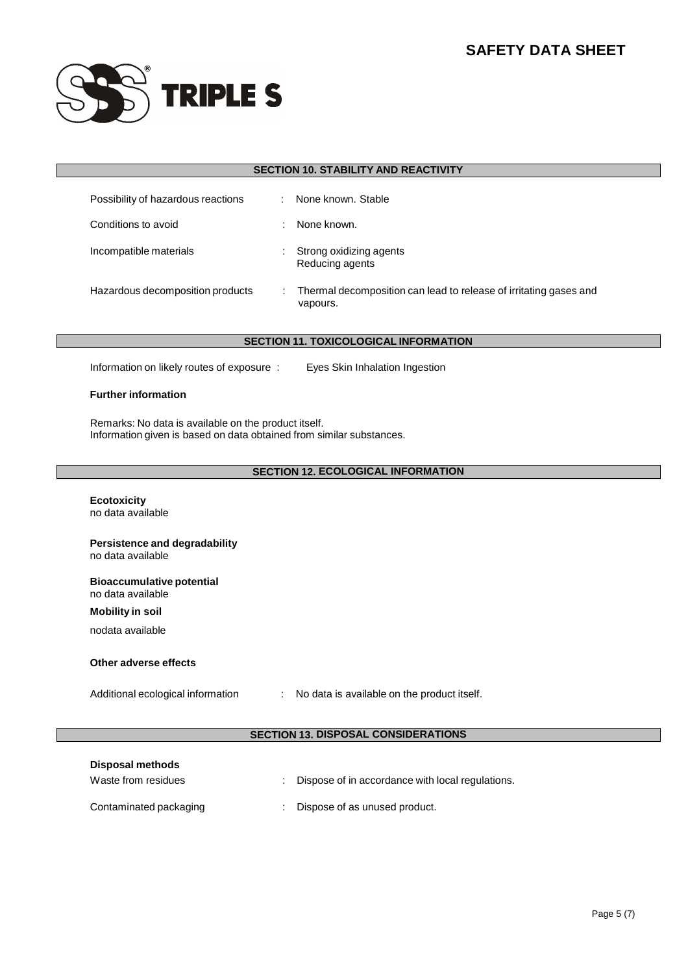

|                                                                             |                                                                                                                              | <b>SECTION 10. STABILITY AND REACTIVITY</b>                                   |  |
|-----------------------------------------------------------------------------|------------------------------------------------------------------------------------------------------------------------------|-------------------------------------------------------------------------------|--|
| Possibility of hazardous reactions                                          | ÷                                                                                                                            | None known, Stable                                                            |  |
| Conditions to avoid                                                         |                                                                                                                              | None known.                                                                   |  |
| Incompatible materials                                                      |                                                                                                                              | Strong oxidizing agents<br>Reducing agents                                    |  |
| Hazardous decomposition products                                            |                                                                                                                              | Thermal decomposition can lead to release of irritating gases and<br>vapours. |  |
|                                                                             |                                                                                                                              |                                                                               |  |
|                                                                             |                                                                                                                              | <b>SECTION 11. TOXICOLOGICAL INFORMATION</b>                                  |  |
| Information on likely routes of exposure:<br>Eyes Skin Inhalation Ingestion |                                                                                                                              |                                                                               |  |
| <b>Further information</b>                                                  |                                                                                                                              |                                                                               |  |
|                                                                             | Remarks: No data is available on the product itself.<br>Information given is based on data obtained from similar substances. |                                                                               |  |

## **SECTION 12. ECOLOGICAL INFORMATION**

|                                                       | <b>SECTION 12. ECOLOGICAL INFORMATION</b>        |  |
|-------------------------------------------------------|--------------------------------------------------|--|
|                                                       |                                                  |  |
| <b>Ecotoxicity</b><br>no data available               |                                                  |  |
|                                                       |                                                  |  |
| Persistence and degradability                         |                                                  |  |
| no data available                                     |                                                  |  |
|                                                       |                                                  |  |
| <b>Bioaccumulative potential</b><br>no data available |                                                  |  |
| <b>Mobility in soil</b>                               |                                                  |  |
| nodata available                                      |                                                  |  |
|                                                       |                                                  |  |
| Other adverse effects                                 |                                                  |  |
|                                                       |                                                  |  |
| Additional ecological information                     | : No data is available on the product itself.    |  |
|                                                       |                                                  |  |
|                                                       | <b>SECTION 13. DISPOSAL CONSIDERATIONS</b>       |  |
|                                                       |                                                  |  |
| <b>Disposal methods</b>                               |                                                  |  |
| Waste from residues                                   | Dispose of in accordance with local regulations. |  |
|                                                       |                                                  |  |
| Contaminated packaging                                | Dispose of as unused product.                    |  |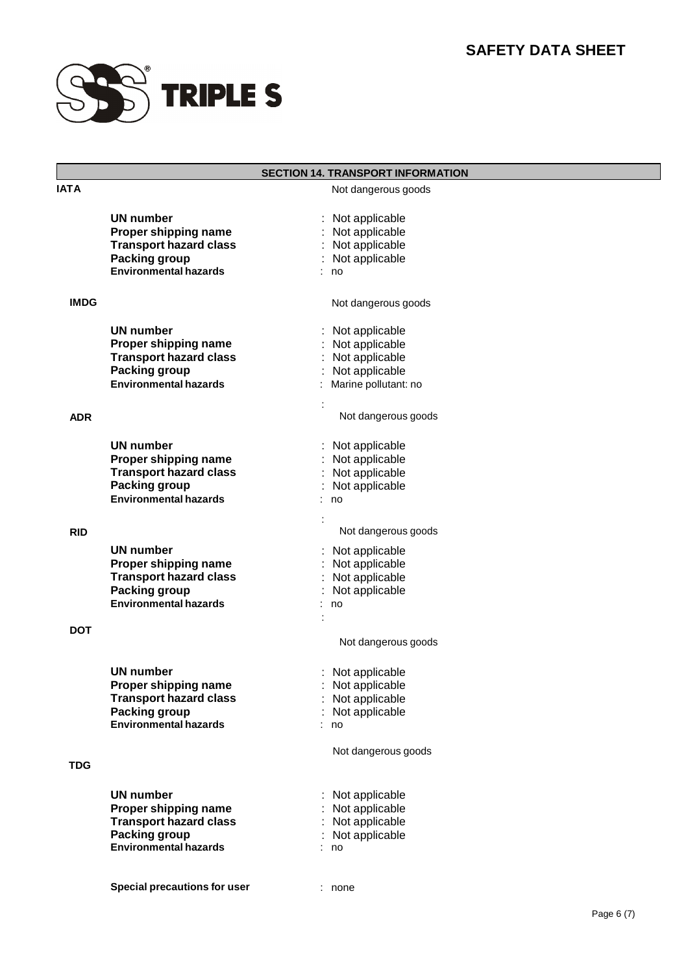

## **SECTION 14. TRANSPORT INFORMATION**

| <b>IATA</b> |                                                                                                                                   | Not dangerous goods                                                                                   |
|-------------|-----------------------------------------------------------------------------------------------------------------------------------|-------------------------------------------------------------------------------------------------------|
|             | <b>UN number</b><br>Proper shipping name<br><b>Transport hazard class</b><br>Packing group<br><b>Environmental hazards</b>        | Not applicable<br>: Not applicable<br>: Not applicable<br>: Not applicable<br>no                      |
| <b>IMDG</b> |                                                                                                                                   | Not dangerous goods                                                                                   |
|             | <b>UN number</b><br>Proper shipping name<br><b>Transport hazard class</b><br><b>Packing group</b><br><b>Environmental hazards</b> | Not applicable<br>÷<br>Not applicable<br>: Not applicable<br>: Not applicable<br>Marine pollutant: no |
| <b>ADR</b>  |                                                                                                                                   | Not dangerous goods                                                                                   |
|             | UN number<br>Proper shipping name<br><b>Transport hazard class</b><br><b>Packing group</b><br><b>Environmental hazards</b>        | : Not applicable<br>: Not applicable<br>: Not applicable<br>: Not applicable<br>: no                  |
| <b>RID</b>  |                                                                                                                                   | Not dangerous goods                                                                                   |
|             | <b>UN number</b><br>Proper shipping name<br><b>Transport hazard class</b><br>Packing group<br><b>Environmental hazards</b>        | : Not applicable<br>: Not applicable<br>: Not applicable<br>Not applicable<br>no                      |
| <b>DOT</b>  |                                                                                                                                   | Not dangerous goods                                                                                   |
|             | <b>UN number</b><br>Proper shipping name<br><b>Transport hazard class</b><br><b>Packing group</b><br><b>Environmental hazards</b> | : Not applicable<br>Not applicable<br>Not applicable<br>Not applicable<br>no<br>Not dangerous goods   |
| TDG         |                                                                                                                                   |                                                                                                       |
|             | <b>UN number</b><br>Proper shipping name<br><b>Transport hazard class</b><br><b>Packing group</b><br><b>Environmental hazards</b> | Not applicable<br>Not applicable<br>: Not applicable<br>Not applicable<br>no                          |
|             | <b>Special precautions for user</b>                                                                                               | none                                                                                                  |